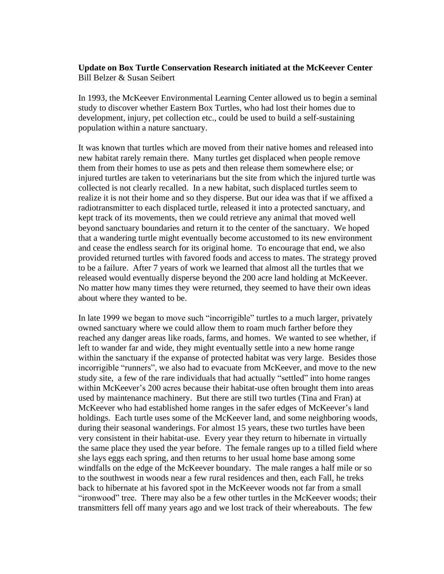## **Update on Box Turtle Conservation Research initiated at the McKeever Center** Bill Belzer & Susan Seibert

In 1993, the McKeever Environmental Learning Center allowed us to begin a seminal study to discover whether Eastern Box Turtles, who had lost their homes due to development, injury, pet collection etc., could be used to build a self-sustaining population within a nature sanctuary.

It was known that turtles which are moved from their native homes and released into new habitat rarely remain there. Many turtles get displaced when people remove them from their homes to use as pets and then release them somewhere else; or injured turtles are taken to veterinarians but the site from which the injured turtle was collected is not clearly recalled. In a new habitat, such displaced turtles seem to realize it is not their home and so they disperse. But our idea was that if we affixed a radiotransmitter to each displaced turtle, released it into a protected sanctuary, and kept track of its movements, then we could retrieve any animal that moved well beyond sanctuary boundaries and return it to the center of the sanctuary. We hoped that a wandering turtle might eventually become accustomed to its new environment and cease the endless search for its original home. To encourage that end, we also provided returned turtles with favored foods and access to mates. The strategy proved to be a failure. After 7 years of work we learned that almost all the turtles that we released would eventually disperse beyond the 200 acre land holding at McKeever. No matter how many times they were returned, they seemed to have their own ideas about where they wanted to be.

In late 1999 we began to move such "incorrigible" turtles to a much larger, privately owned sanctuary where we could allow them to roam much farther before they reached any danger areas like roads, farms, and homes. We wanted to see whether, if left to wander far and wide, they might eventually settle into a new home range within the sanctuary if the expanse of protected habitat was very large. Besides those incorrigible "runners", we also had to evacuate from McKeever, and move to the new study site, a few of the rare individuals that had actually "settled" into home ranges within McKeever's 200 acres because their habitat-use often brought them into areas used by maintenance machinery. But there are still two turtles (Tina and Fran) at McKeever who had established home ranges in the safer edges of McKeever's land holdings. Each turtle uses some of the McKeever land, and some neighboring woods, during their seasonal wanderings. For almost 15 years, these two turtles have been very consistent in their habitat-use. Every year they return to hibernate in virtually the same place they used the year before. The female ranges up to a tilled field where she lays eggs each spring, and then returns to her usual home base among some windfalls on the edge of the McKeever boundary. The male ranges a half mile or so to the southwest in woods near a few rural residences and then, each Fall, he treks back to hibernate at his favored spot in the McKeever woods not far from a small "ironwood" tree. There may also be a few other turtles in the McKeever woods; their transmitters fell off many years ago and we lost track of their whereabouts. The few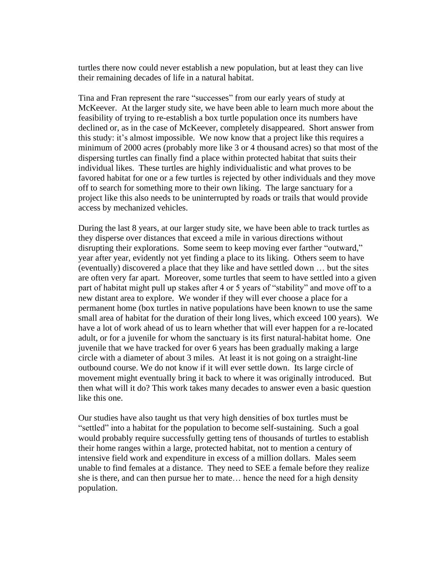turtles there now could never establish a new population, but at least they can live their remaining decades of life in a natural habitat.

Tina and Fran represent the rare "successes" from our early years of study at McKeever. At the larger study site, we have been able to learn much more about the feasibility of trying to re-establish a box turtle population once its numbers have declined or, as in the case of McKeever, completely disappeared. Short answer from this study: it's almost impossible. We now know that a project like this requires a minimum of 2000 acres (probably more like 3 or 4 thousand acres) so that most of the dispersing turtles can finally find a place within protected habitat that suits their individual likes. These turtles are highly individualistic and what proves to be favored habitat for one or a few turtles is rejected by other individuals and they move off to search for something more to their own liking. The large sanctuary for a project like this also needs to be uninterrupted by roads or trails that would provide access by mechanized vehicles.

During the last 8 years, at our larger study site, we have been able to track turtles as they disperse over distances that exceed a mile in various directions without disrupting their explorations. Some seem to keep moving ever farther "outward," year after year, evidently not yet finding a place to its liking. Others seem to have (eventually) discovered a place that they like and have settled down … but the sites are often very far apart. Moreover, some turtles that seem to have settled into a given part of habitat might pull up stakes after 4 or 5 years of "stability" and move off to a new distant area to explore. We wonder if they will ever choose a place for a permanent home (box turtles in native populations have been known to use the same small area of habitat for the duration of their long lives, which exceed 100 years). We have a lot of work ahead of us to learn whether that will ever happen for a re-located adult, or for a juvenile for whom the sanctuary is its first natural-habitat home. One juvenile that we have tracked for over 6 years has been gradually making a large circle with a diameter of about 3 miles. At least it is not going on a straight-line outbound course. We do not know if it will ever settle down. Its large circle of movement might eventually bring it back to where it was originally introduced. But then what will it do? This work takes many decades to answer even a basic question like this one.

Our studies have also taught us that very high densities of box turtles must be "settled" into a habitat for the population to become self-sustaining. Such a goal would probably require successfully getting tens of thousands of turtles to establish their home ranges within a large, protected habitat, not to mention a century of intensive field work and expenditure in excess of a million dollars. Males seem unable to find females at a distance. They need to SEE a female before they realize she is there, and can then pursue her to mate… hence the need for a high density population.